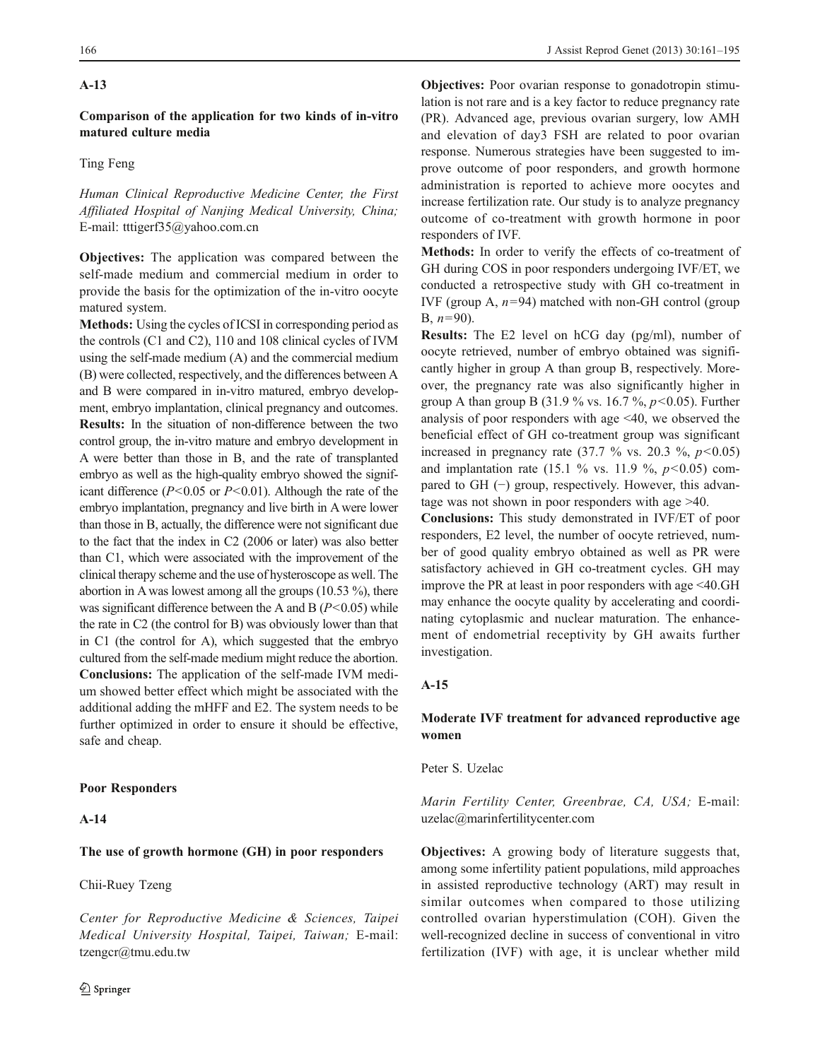## A-13

Comparison of the application for two kinds of in-vitro matured culture media

# Ting Feng

Human Clinical Reproductive Medicine Center, the First Affiliated Hospital of Nanjing Medical University, China; E-mail: tttigerf35@yahoo.com.cn

Objectives: The application was compared between the self-made medium and commercial medium in order to provide the basis for the optimization of the in-vitro oocyte matured system.

Methods: Using the cycles of ICSI in corresponding period as the controls (C1 and C2), 110 and 108 clinical cycles of IVM using the self-made medium (A) and the commercial medium (B) were collected, respectively, and the differences between A and B were compared in in-vitro matured, embryo development, embryo implantation, clinical pregnancy and outcomes. Results: In the situation of non-difference between the two control group, the in-vitro mature and embryo development in A were better than those in B, and the rate of transplanted embryo as well as the high-quality embryo showed the significant difference ( $P<0.05$  or  $P<0.01$ ). Although the rate of the embryo implantation, pregnancy and live birth in A were lower than those in B, actually, the difference were not significant due to the fact that the index in C2 (2006 or later) was also better than C1, which were associated with the improvement of the clinical therapy scheme and the use of hysteroscope as well. The abortion in A was lowest among all the groups (10.53 %), there was significant difference between the A and B ( $P$  < 0.05) while the rate in C2 (the control for B) was obviously lower than that in C1 (the control for A), which suggested that the embryo cultured from the self-made medium might reduce the abortion. Conclusions: The application of the self-made IVM medium showed better effect which might be associated with the additional adding the mHFF and E2. The system needs to be further optimized in order to ensure it should be effective, safe and cheap.

### Poor Responders

## A-14

## The use of growth hormone (GH) in poor responders

## Chii-Ruey Tzeng

Center for Reproductive Medicine & Sciences, Taipei Medical University Hospital, Taipei, Taiwan; E-mail: tzengcr@tmu.edu.tw

Objectives: Poor ovarian response to gonadotropin stimulation is not rare and is a key factor to reduce pregnancy rate (PR). Advanced age, previous ovarian surgery, low AMH and elevation of day3 FSH are related to poor ovarian response. Numerous strategies have been suggested to improve outcome of poor responders, and growth hormone administration is reported to achieve more oocytes and increase fertilization rate. Our study is to analyze pregnancy outcome of co-treatment with growth hormone in poor responders of IVF.

Methods: In order to verify the effects of co-treatment of GH during COS in poor responders undergoing IVF/ET, we conducted a retrospective study with GH co-treatment in IVF (group A,  $n=94$ ) matched with non-GH control (group B,  $n=90$ ).

Results: The E2 level on hCG day (pg/ml), number of oocyte retrieved, number of embryo obtained was significantly higher in group A than group B, respectively. Moreover, the pregnancy rate was also significantly higher in group A than group B (31.9 % vs. 16.7 %,  $p$  < 0.05). Further analysis of poor responders with age <40, we observed the beneficial effect of GH co-treatment group was significant increased in pregnancy rate  $(37.7 \text{ % vs. } 20.3 \text{ %}, p<0.05)$ and implantation rate (15.1 % vs. 11.9 %,  $p<0.05$ ) compared to GH (−) group, respectively. However, this advantage was not shown in poor responders with age >40.

Conclusions: This study demonstrated in IVF/ET of poor responders, E2 level, the number of oocyte retrieved, number of good quality embryo obtained as well as PR were satisfactory achieved in GH co-treatment cycles. GH may improve the PR at least in poor responders with age <40.GH may enhance the oocyte quality by accelerating and coordinating cytoplasmic and nuclear maturation. The enhancement of endometrial receptivity by GH awaits further investigation.

#### A-15

## Moderate IVF treatment for advanced reproductive age women

Peter S. Uzelac

Marin Fertility Center, Greenbrae, CA, USA; E-mail: uzelac@marinfertilitycenter.com

Objectives: A growing body of literature suggests that, among some infertility patient populations, mild approaches in assisted reproductive technology (ART) may result in similar outcomes when compared to those utilizing controlled ovarian hyperstimulation (COH). Given the well-recognized decline in success of conventional in vitro fertilization (IVF) with age, it is unclear whether mild